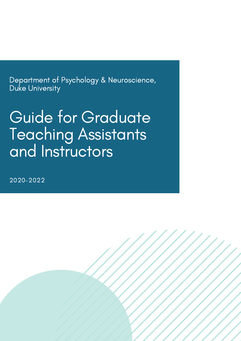Department of Psychology & Neuroscience, Duke University

# Guide for Graduate Teaching Assistants and Instructors

2020-2022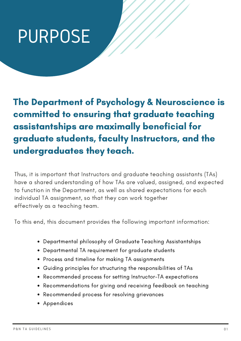# PURPOSE

The Department of Psychology & Neuroscience is committed to ensuring that graduate teaching assistantships are maximally beneficial for graduate students, faculty Instructors, and the undergraduates they teach.

Thus, it is important that Instructors and graduate teaching assistants (TAs) have a shared understanding of how TAs are valued, assigned, and expected to function in the Department, as well as shared expectations for each individual TA assignment, so that they can work together effectively as a teaching team.

To this end, this document provides the following important information:

- Departmental philosophy of Graduate Teaching Assistantships
- Departmental TA requirement for graduate students
- Process and timeline for making TA assignments
- Guiding principles for structuring the responsibilities of TAs
- Recommended process for setting Instructor-TA expectations
- Recommendations for giving and receiving feedback on teaching
- Recommended process for resolving grievances
- Appendices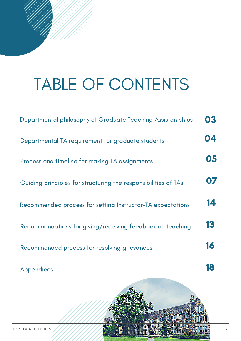# TABLE OF CONTENTS

| Departmental philosophy of Graduate Teaching Assistantships    | 03 |
|----------------------------------------------------------------|----|
| Departmental TA requirement for graduate students              | 04 |
| Process and timeline for making TA assignments                 | 05 |
| Guiding principles for structuring the responsibilities of TAs | 07 |
| Recommended process for setting Instructor-TA expectations     | 14 |
| Recommendations for giving/receiving feedback on teaching      | 13 |
| Recommended process for resolving grievances                   | 16 |
| Appendices                                                     |    |

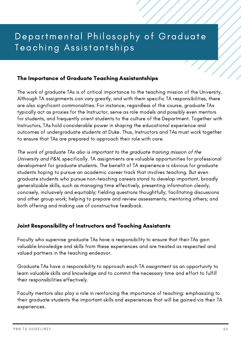# Departmental Philosophy of Graduate Teaching Assistantships

#### The Importance of Graduate Teaching Assistantships

The work of graduate TAs is of critical importance to the teaching mission of the University. Although TA assignments can vary greatly, and with them specific TA responsibilities, there are also significant commonalities. For instance, regardless of the course, graduate TAs typically act as proxies for the Instructor, serve as role models and possibly even mentors for students, and frequently orient students to the culture of the Department. Together with Instructors, TAs hold considerable power in shaping the educational experience and outcomes of undergraduate students at Duke. Thus, Instructors and TAs must work together to ensure that TAs are prepared to approach their role with care.

The work of graduate TAs also is important to the graduate training mission of the University and P&N, specifically. TA assignments are valuable opportunities for professional development for graduate students. The benefit of TA experience is obvious for graduate students hoping to pursue an academic career track that involves teaching. But even graduate students who pursue non-teaching careers stand to develop important, broadly generalizable skills, such as managing time effectively, presenting information clearly, concisely, inclusively and equitably; fielding questions thoughtfully; facilitating discussions and other group work; helping to prepare and review assessments; mentoring others; and both offering and making use of constructive feedback.

#### Joint Responsibility of Instructors and Teaching Assistants

Faculty who supervise graduate TAs have a responsibility to ensure that their TAs gain valuable knowledge and skills from these experiences and are treated as respected and valued partners in the teaching endeavor.

Graduate TAs have a responsibility to approach each TA assignment as an opportunity to learn valuable skills and knowledge and to commit the necessary time and effort to fulfill their responsibilities effectively.

Faculty mentors also play a role in reinforcing the importance of teaching: emphasizing to their graduate students the important skills and experiences that will be gained via their TA experiences.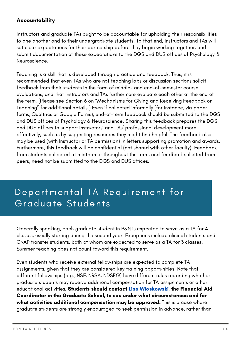## **Accountability**

Instructors and graduate TAs ought to be accountable for upholding their responsibilities to one another and to their undergraduate students. To that end, Instructors and TAs will set clear expectations for their partnership before they begin working together, and submit documentation of these expectations to the DGS and DUS offices of Psychology & Neuroscience.

Teaching is a skill that is developed through practice and feedback. Thus, it is recommended that even TAs who are not teaching labs or discussion sections solicit feedback from their students in the form of middle- and end-of-semester course evaluations, and that Instructors and TAs furthermore evaluate each other at the end of the term. (Please see Section 6 on "Mechanisms for Giving and Receiving Feedback on Teaching" for additional details.) Even if collected informally (for instance, via paper forms, Qualtrics or Google Forms), end-of-term feedback should be submitted to the DGS and DUS offices of Psychology & Neuroscience. Sharing this feedback prepares the DGS and DUS offices to support Instructors' and TAs' professional development more effectively, such as by suggesting resources they might find helpful. The feedback also may be used (with Instructor or TA permission) in letters supporting promotion and awards. Furthermore, this feedback will be confidential (not shared with other faculty). Feedback from students collected at midterm or throughout the term, and feedback solicited from peers, need not be submitted to the DGS and DUS offices.

# Departmental TA Requirement for Graduate Students

Generally speaking, each graduate student in P&N is expected to serve as a TA for 4 classes, usually starting during the second year. Exceptions include clinical students and CNAP transfer students, both of whom are expected to serve as a TA for 3 classes. Summer teaching does not count toward this requirement.

Even students who receive external fellowships are expected to complete TA assignments, given that they are considered key training opportunities. Note that different fellowships (e.g., NSF, NRSA, NDSEG) have different rules regarding whether graduate students may receive additional compensation for TA assignments or other educational activities. Students should contact Lisa [Wioskowski](http://duke.edu/), the Financial Aid Coordinator in the Graduate School, to see under what circumstances and for what activities additional compensation may be approved. This is a case where graduate students are strongly encouraged to seek permission in advance, rather than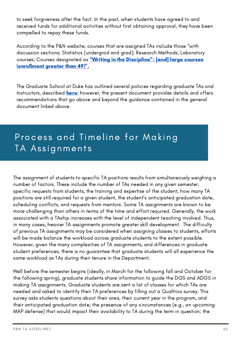to seek forgiveness after the fact. In the past, when students have agreed to and received funds for additional activities without first obtaining approval, they have been compelled to repay these funds.

According to the P&N website, courses that are assigned TAs include those "with discussion sections; Statistics (undergrad and grad); Research Methods; Laboratory courses; Courses designated as "Writing in the Discipline"; [and] large courses [\(enrollment](https://psychandneuro.duke.edu/graduate/teaching) greater than 49)[".](https://psychandneuro.duke.edu/graduate/teaching)

The Graduate School at Duke has outlined several policies regarding graduate TAs and Instructors, described **[here](https://gradschool.duke.edu/sites/default/files/documents/Duke-Graduate-TA-and-IOR-guidelines.pdf)**; however, the present document provides details and offers recommendations that go above and beyond the guidance contained in the general document linked above.

# Process and Timeline for Making TA Assignments

The assignment of students to specific TA positions results from simultaneously weighing a number of factors. These include the number of TAs needed in any given semester, specific requests from students, the training and expertise of the student, how many TA positions are still required for a given student, the student's anticipated graduation date, scheduling conflicts, and requests from mentors. Some TA assignments are known to be more challenging than others in terms of the time and effort required. Generally, the work associated with a TAship increases with the level of independent teaching involved. Thus, in many cases, heavier TA assignments promote greater skill development. The difficulty of previous TA assignments may be considered when assigning classes to students, efforts will be made balance the workload across graduate students to the extent possible. However, given the many complexities of TA assignments, and differences in graduate student preferences, there is no guarantee that graduate students will all experience the same workload as TAs during their tenure in the Department.

Well before the semester begins (ideally, in March for the following fall and October for the following spring), graduate students share information to guide the DGS and ADGS in making TA assignments. Graduate students are sent a list of classes for which TAs are needed and asked to identify their TA preferences by filling out a Qualtrics survey. This survey asks students questions about their area, their current year in the program, and their anticipated graduation date; the presence of any circumstances (e.g., an upcoming MAP defense) that would impact their availability to TA during the term in question; the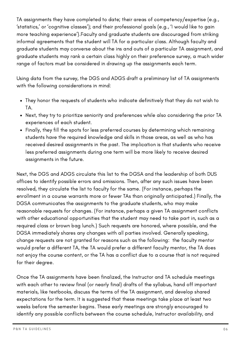TA assignments they have completed to date; their areas of competency/expertise (e.g., 'statistics,' or 'cognitive classes'); and their professional goals (e.g., 'I would like to gain more teaching experience').Faculty and graduate students are discouraged from striking informal agreements that the student will TA for a particular class. Although faculty and graduate students may converse about the ins and outs of a particular TA assignment, and graduate students may rank a certain class highly on their preference survey, a much wider range of factors must be considered in drawing up the assignments each term.

Using data from the survey, the DGS and ADGS draft a preliminary list of TA assignments with the following considerations in mind:

- They honor the requests of students who indicate definitively that they do not wish to TA.
- Next, they try to prioritize seniority and preferences while also considering the prior TA experiences of each student.
- Finally, they fill the spots for less preferred courses by determining which remaining students have the required knowledge and skills in those areas, as well as who has received desired assignments in the past. The implication is that students who receive less preferred assignments during one term will be more likely to receive desired assignments in the future.

Next, the DGS and ADGS circulate this list to the DGSA and the leadership of both DUS offices to identify possible errors and omissions. Then, after any such issues have been resolved, they circulate the list to faculty for the same. (For instance, perhaps the enrollment in a course warrants more or fewer TAs than originally anticipated.) Finally, the DGSA communicates the assignments to the graduate students, who may make reasonable requests for changes. (For instance, perhaps a given TA assignment conflicts with other educational opportunities that the student may need to take part in, such as a required class or brown bag lunch.) Such requests are honored, where possible, and the DGSA immediately shares any changes with all parties involved. Generally speaking, change requests are not granted for reasons such as the following: the faculty mentor would prefer a different TA, the TA would prefer a different faculty mentor, the TA does not enjoy the course content, or the TA has a conflict due to a course that is not required for their degree.

Once the TA assignments have been finalized, the Instructor and TA schedule meetings with each other to review final (or nearly final) drafts of the syllabus, hand off important materials, like textbooks, discuss the terms of the TA assignment, and develop shared expectations for the term. It is suggested that these meetings take place at least two weeks before the semester begins. These early meetings are strongly encouraged to identify any possible conflicts between the course schedule, Instructor availability, and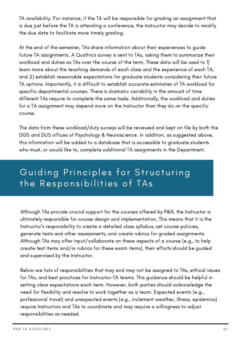TA availability. For instance, if the TA will be responsible for grading an assignment that is due just before the TA is attending a conference, the Instructor may decide to modify the due date to facilitate more timely grading.

At the end of the semester, TAs share information about their experiences to guide future TA assignments. A Qualtrics survey is sent to TAs, asking them to summarize their workload and duties as TAs over the course of the term. These data will be used to 1) learn more about the teaching demands of each class and the experience of each TA, and 2) establish reasonable expectations for graduate students considering their future TA options. Importantly, it is difficult to establish accurate estimates of TA workload for specific departmental courses. There is dramatic variability in the amount of time different TAs require to complete the same tasks. Additionally, the workload and duties for a TA assignment may depend more on the Instructor than they do on the specific course.

The data from these workload/duty surveys will be reviewed and kept on file by both the DGS and DUS offices of Psychology & Neuroscience. In addition, as suggested above, this information will be added to a database that is accessible to graduate students who must, or would like to, complete additional TA assignments in the Department.

# Guiding Principles for Structuring the Responsibilities of TAs

Although TAs provide crucial support for the courses offered by P&N, the Instructor is ultimately responsible for course design and implementation. This means that it is the Instructor's responsibility to create a detailed class syllabus, set course policies, generate tests and other assessments, and create rubrics for graded assignments. Although TAs may offer input/collaborate on these aspects of a course (e.g., to help create test items and/or rubrics for these exam items), their efforts should be guided and supervised by the Instructor.

Below are lists of responsibilities that may and may not be assigned to TAs, ethical issues for TAs, and best practices for Instructor-TA teams. This guidance should be helpful in setting clear expectations each term. However, both parties should acknowledge the need for flexibility and resolve to work together as a team. Expected events (e.g., professional travel) and unexpected events (e.g., inclement weather, illness, epidemics) require Instructors and TAs to coordinate and may require a willingness to adjust responsibilities as needed.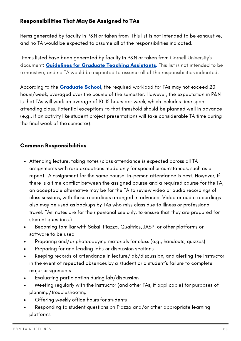## Responsibilities That May Be Assigned to TAs

Items generated by faculty in P&N or taken from This list is not intended to be exhaustive, and no TA would be expected to assume all of the responsibilities indicated.

Items listed have been generated by faculty in P&N or taken from Cornell University's document: **[Guidelines](https://cals.cornell.edu/media/6848/download) for Graduate Teaching Assistants.** This list is not intended to be exhaustive, and no TA would be expected to assume all of the responsibilities indicated.

According to the **[Graduate](https://gradschool.duke.edu/) School**, the required workload for TAs may not exceed 20 hours/week, averaged over the course of the semester. However, the expectation in P&N is that TAs will work an average of 10-15 hours per week, which includes time spent attending class. Potential exceptions to that threshold should be planned well in advance (e.g., if an activity like student project presentations will take considerable TA time during the final week of the semester).

#### Common Responsibilities

- Attending lecture, taking notes (class attendance is expected across all TA assignments with rare exceptions made only for special circumstances, such as a repeat TA assignment for the same course. In-person attendance is best. However, if there is a time conflict between the assigned course and a required course for the TA, an acceptable alternative may be for the TA to review video or audio recordings of class sessions, with these recordings arranged in advance. Video or audio recordings also may be used as backups by TAs who miss class due to illness or professional travel. TAs' notes are for their personal use only, to ensure that they are prepared for student questions.)
- Becoming familiar with Sakai, Piazza, Qualtrics, JASP, or other platforms or software to be used
- Preparing and/or photocopying materials for class (e.g., handouts, quizzes)
- Preparing for and leading labs or discussion sections
- Keeping records of attendance in lecture/lab/discussion, and alerting the Instructor in the event of repeated absences by a student or a student's failure to complete major assignments
- Evaluating participation during lab/discussion  $\bullet$
- Meeting regularly with the Instructor (and other TAs, if applicable) for purposes of  $\bullet$ planning/troubleshooting
- Offering weekly office hours for students
- Responding to student questions on Piazza and/or other appropriate learning  $\bullet$ platforms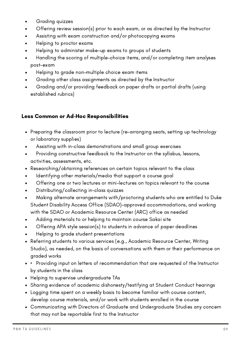- Grading quizzes  $\bullet$
- Offering review session(s) prior to each exam, or as directed by the Instructor  $\bullet$
- Assisting with exam construction and/or photocopying exams  $\bullet$
- Helping to proctor exams  $\bullet$
- Helping to administer make-up exams to groups of students
- Handling the scoring of multiple-choice items, and/or completing item analyses  $\bullet$ post-exam
- Helping to grade non-multiple choice exam items
- Grading other class assignments as directed by the Instructor
- Grading and/or providing feedback on paper drafts or partial drafts (using established rubrics)

# Less Common or Ad-Hoc Responsibilities

- Preparing the classroom prior to lecture (re-arranging seats, setting up technology or laboratory supplies)
- Assisting with in-class demonstrations and small group exercises
- Providing constructive feedback to the Instructor on the syllabus, lessons,  $\bullet$ activities, assessments, etc.
- Researching/obtaining references on certain topics relevant to the class
- Identifying other materials/media that support a course goal  $\bullet$
- Offering one or two lectures or mini-lectures on topics relevant to the course  $\bullet$
- Distributing/collecting in-class quizzes  $\bullet$
- Making alternate arrangements with/proctoring students who are entitled to Duke Student Disability Access Office (SDAO)-approved accommodations, and working with the SDAO or Academic Resource Center (ARC) office as needed
- Adding materials to or helping to maintain course Sakai site
- Offering APA style session(s) to students in advance of paper deadlines  $\bullet$
- Helping to grade student presentations
- Referring students to various services (e.g., Academic Resource Center, Writing Studio), as needed, on the basis of conversations with them or their performance on graded works
- Providing input on letters of recommendation that are requested of the Instructor by students in the class
- Helping to supervise undergraduate TAs
- Sharing evidence of academic dishonesty/testifying at Student Conduct hearings
- Logging time spent on a weekly basis to become familiar with course content, develop course materials, and/or work with students enrolled in the course
- Communicating with Directors of Graduate and Undergraduate Studies any concern that may not be reportable first to the Instructor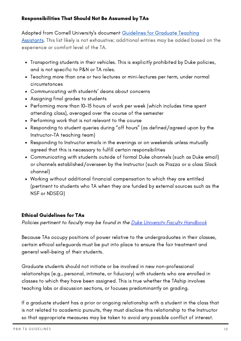#### Responsibilities That Should Not Be Assumed by TAs

#### Adapted from Cornell University's document Guidelines for Graduate Teaching

Assistants. This list likely is not [exhaustive;](https://cals.cornell.edu/media/6848/download) additional entries may be added based on the experience or comfort level of the TA.

- Transporting students in their vehicles. This is explicitly prohibited by Duke policies, and is not specific to P&N or TA roles.
- Teaching more than one or two lectures or mini-lectures per term, under normal circumstances
- Communicating with students' deans about concerns
- Assigning final grades to students
- Performing more than 10-15 hours of work per week (which includes time spent attending class), averaged over the course of the semester
- Performing work that is not relevant to the course
- Responding to student queries during "off hours" (as defined/agreed upon by the Instructor-TA teaching team)
- Responding to Instructor emails in the evenings or on weekends unless mutually agreed that this is necessary to fulfill certain responsibilities
- Communicating with students outside of formal Duke channels (such as Duke email) or channels established/overseen by the Instructor (such as Piazza or a class Slack channel)
- Working without additional financial compensation to which they are entitled (pertinent to students who TA when they are funded by external sources such as the NSF or NDSEG)

#### Ethical Guidelines for TAs

Policies pertinent to faculty may be found in the Duke University Faculty [Handbook](https://provost.duke.edu/policies-resources/faculty-handbook))

Because TAs occupy positions of power relative to the undergraduates in their classes, certain ethical safeguards must be put into place to ensure the fair treatment and general well-being of their students.

Graduate students should not initiate or be involved in new non-professional relationships (e.g., personal, intimate, or fiduciary) with students who are enrolled in classes to which they have been assigned. This is true whether the TAship involves teaching labs or discussion sections, or focuses predominantly on grading.

If a graduate student has a prior or ongoing relationship with a student in the class that is not related to academic pursuits, they must disclose this relationship to the Instructor so that appropriate measures may be taken to avoid any possible conflict of interest.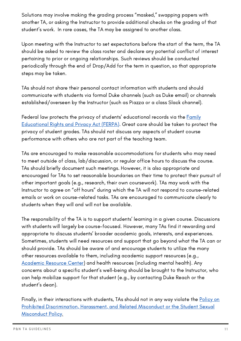Solutions may involve making the grading process "masked," swapping papers with another TA, or asking the Instructor to provide additional checks on the grading of that student's work. In rare cases, the TA may be assigned to another class.

Upon meeting with the Instructor to set expectations before the start of the term, the TA should be asked to review the class roster and declare any potential conflict of interest pertaining to prior or ongoing relationships. Such reviews should be conducted periodically through the end of Drop/Add for the term in question, so that appropriate steps may be taken.

TAs should not share their personal contact information with students and should communicate with students via formal Duke channels (such as Duke email) or channels established/overseen by the Instructor (such as Piazza or a class Slack channel).

Federal law protects the privacy of students' [educational](https://www2.ed.gov/policy/gen/guid/fpco/ferpa/index.html) records via the **Family** Educational Rights and Privacy Act (FERPA). Great care should be taken to protect the privacy of student grades. TAs should not discuss any aspects of student course performance with others who are not part of the teaching team.

TAs are encouraged to make reasonable accommodations for students who may need to meet outside of class, lab/discussion, or regular office hours to discuss the course. TAs should briefly document such meetings. However, it is also appropriate and encouraged for TAs to set reasonable boundaries on their time to protect their pursuit of other important goals (e.g., research, their own coursework). TAs may work with the Instructor to agree on "off hours" during which the TA will not respond to course-related emails or work on course-related tasks. TAs are encouraged to communicate clearly to students when they will and will not be available.

The responsibility of the TA is to support students' learning in a given course. Discussions with students will largely be course-focused. However, many TAs find it rewarding and appropriate to discuss students' broader academic goals, interests, and experiences. Sometimes, students will need resources and support that go beyond what the TA can or should provide. TAs should be aware of and encourage students to utilize the many other resources available to them, including academic support resources (e.g., [Academic](https://arc.duke.edu/) Resource Center) and health resources (including mental health). Any concerns about a specific student's well-being should be brought to the Instructor, who can help mobilize support for that student (e.g., by contacting Duke Reach or the student's dean).

Finally, in their interactions with students, TAs should not in any way violate the Policy on Prohibited [Discrimination,](https://oie.duke.edu/knowledge-base/policies-statements-and-procedures) Harassment, and Related Misconduct or the Student Sexual Misconduct Polic[y.](https://oie.duke.edu/knowledge-base/policies-statements-and-procedures)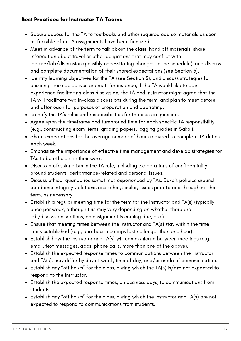## Best Practices for Instructor-TA Teams

- Secure access for the TA to textbooks and other required course materials as soon as feasible after TA assignments have been finalized.
- Meet in advance of the term to talk about the class, hand off materials, share information about travel or other obligations that may conflict with lecture/lab/discussion (possibly necessitating changes to the schedule), and discuss and complete documentation of their shared expectations (see Section 5).
- Identify learning objectives for the TA (see Section 5), and discuss strategies for ensuring these objectives are met; for instance, if the TA would like to gain experience facilitating class discussion, the TA and Instructor might agree that the TA will facilitate two in-class discussions during the term, and plan to meet before and after each for purposes of preparation and debriefing.
- Identify the TA's roles and responsibilities for the class in question.
- Agree upon the timeframe and turnaround time for each specific TA responsibility (e.g., constructing exam items, grading papers, logging grades in Sakai).
- Share expectations for the average number of hours required to complete TA duties each week.
- Emphasize the importance of effective time management and develop strategies for TAs to be efficient in their work.
- Discuss professionalism in the TA role, including expectations of confidentiality around students' performance-related and personal issues.
- Discuss ethical quandaries sometimes experienced by TAs, Duke's policies around academic integrity violations, and other, similar, issues prior to and throughout the term, as necessary.
- Establish a regular meeting time for the term for the Instructor and TA(s) (typically once per week, although this may vary depending on whether there are lab/discussion sections, an assignment is coming due, etc.).
- Ensure that meeting times between the instructor and TA(s) stay within the time limits established (e.g., one-hour meetings last no longer than one hour).
- Establish how the Instructor and TA(s) will communicate between meetings (e.g., email, text messages, apps, phone calls, more than one of the above).
- Establish the expected response times to communications between the Instructor and TA(s); may differ by day of week, time of day, and/or mode of communication.
- Establish any "off hours" for the class, during which the TA(s) is/are not expected to respond to the Instructor.
- Establish the expected response times, on business days, to communications from students.
- Establish any "off hours" for the class, during which the Instructor and TA(s) are not expected to respond to communications from students.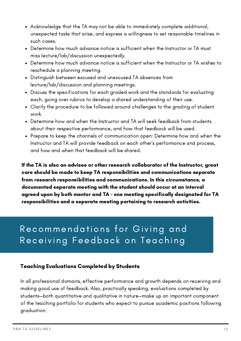- Acknowledge that the TA may not be able to immediately complete additional, unexpected tasks that arise, and express a willingness to set reasonable timelines in such cases.
- Determine how much advance notice is sufficient when the Instructor or TA must miss lecture/lab/discussion unexpectedly.
- Determine how much advance notice is sufficient when the Instructor or TA wishes to reschedule a planning meeting.
- Distinguish between excused and unexcused TA absences from lecture/lab/discussion and planning meetings.
- Discuss the specifications for each graded work and the standards for evaluating each, going over rubrics to develop a shared understanding of their use.
- Clarify the procedure to be followed around challenges to the grading of student work.
- Determine how and when the Instructor and TA will seek feedback from students about their respective performance, and how that feedback will be used.
- Prepare to keep the channels of communication open: Determine how and when the Instructor and TA will provide feedback on each other's performance and process, and how and when that feedback will be shared.

If the TA is also an advisee or other research collaborator of the Instructor, great care should be made to keep TA responsibilities and communications separate from research responsibilities and communications. In this circumstance, a documented separate meeting with the student should occur at an interval agreed upon by both mentor and TA - one meeting specifically designated for TA responsibilities and a separate meeting pertaining to research activities.

# Recommendations for Giving and Receiving Feedback on Teaching

#### Teaching Evaluations Completed by Students

In all professional domains, effective performance and growth depends on receiving and making good use of feedback. Also, practically speaking, evaluations completed by students—both quantitative and qualitative in nature—make up an important component of the teaching portfolio for students who expect to pursue academic positions following graduation.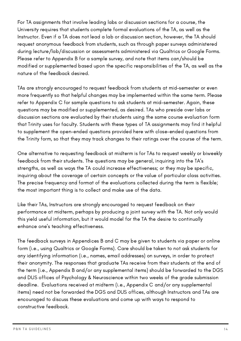For TA assignments that involve leading labs or discussion sections for a course, the University requires that students complete formal evaluations of the TA, as well as the Instructor. Even if a TA does not lead a lab or discussion section, however, the TA should request anonymous feedback from students, such as through paper surveys administered during lecture/lab/discussion or assessments administered via Qualtrics or Google Forms. Please refer to Appendix B for a sample survey, and note that items can/should be modified or supplemented based upon the specific responsibilities of the TA, as well as the nature of the feedback desired.

TAs are strongly encouraged to request feedback from students at mid-semester or even more frequently so that helpful changes may be implemented within the same term. Please refer to Appendix C for sample questions to ask students at mid-semester. Again, these questions may be modified or supplemented, as desired. TAs who preside over labs or discussion sections are evaluated by their students using the same course evaluation form that Trinity uses for faculty. Students with these types of TA assignments may find it helpful to supplement the open-ended questions provided here with close-ended questions from the Trinity form, so that they may track changes to their ratings over the course of the term.

One alternative to requesting feedback at midterm is for TAs to request weekly or biweekly feedback from their students. The questions may be general, inquiring into the TA's strengths, as well as ways the TA could increase effectiveness; or they may be specific, inquiring about the coverage of certain concepts or the value of particular class activities. The precise frequency and format of the evaluations collected during the term is flexible; the most important thing is to collect and make use of the data.

Like their TAs, Instructors are strongly encouraged to request feedback on their performance at midterm, perhaps by producing a joint survey with the TA. Not only would this yield useful information, but it would model for the TA the desire to continually enhance one's teaching effectiveness.

The feedback surveys in Appendices B and C may be given to students via paper or online form (i.e., using Qualtrics or Google Forms). Care should be taken to not ask students for any identifying information (i.e., names, email addresses) on surveys, in order to protect their anonymity. The responses that graduate TAs receive from their students at the end of the term (i.e., Appendix B and/or any supplemental items) should be forwarded to the DGS and DUS offices of Psychology & Neuroscience within two weeks of the grade submission deadline. Evaluations received at midterm (i.e., Appendix C and/or any supplemental items) need not be forwarded the DGS and DUS offices, although Instructors and TAs are encouraged to discuss these evaluations and come up with ways to respond to constructive feedback.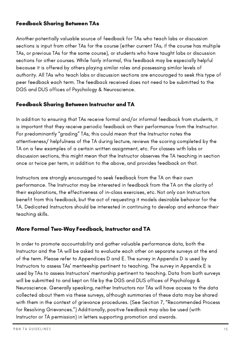## Feedback Sharing Between TAs

Another potentially valuable source of feedback for TAs who teach labs or discussion sections is input from other TAs for the course (either current TAs, if the course has multiple TAs, or previous TAs for the same course), or students who have taught labs or discussion sections for other courses. While fairly informal, this feedback may be especially helpful because it is offered by others playing similar roles and possessing similar levels of authority. All TAs who teach labs or discussion sections are encouraged to seek this type of peer feedback each term. The feedback received does not need to be submitted to the DGS and DUS offices of Psychology & Neuroscience.

## Feedback Sharing Between Instructor and TA

In addition to ensuring that TAs receive formal and/or informal feedback from students, it is important that they receive periodic feedback on their performance from the Instructor. For predominantly "grading" TAs, this could mean that the Instructor notes the attentiveness/ helpfulness of the TA during lecture, reviews the scoring completed by the TA on a few examples of a certain written assignment, etc. For classes with labs or discussion sections, this might mean that the Instructor observes the TA teaching in section once or twice per term, in addition to the above, and provides feedback on that.

Instructors are strongly encouraged to seek feedback from the TA on their own performance. The Instructor may be interested in feedback from the TA on the clarity of their explanations, the effectiveness of in-class exercises, etc. Not only can Instructors benefit from this feedback, but the act of requesting it models desirable behavior for the TA. Dedicated Instructors should be interested in continuing to develop and enhance their teaching skills.

#### More Formal Two-Way Feedback, Instructor and TA

In order to promote accountability and gather valuable performance data, both the Instructor and the TA will be asked to evaluate each other on separate surveys at the end of the term. Please refer to Appendices D and E. The survey in Appendix D is used by Instructors to assess TAs' menteeship pertinent to teaching. The survey in Appendix E is used by TAs to assess Instructors' mentorship pertinent to teaching. Data from both surveys will be submitted to and kept on file by the DGS and DUS offices of Psychology & Neuroscience. Generally speaking, neither Instructors nor TAs will have access to the data collected about them via these surveys, although summaries of these data may be shared with them in the context of grievance procedures. (See Section 7, "Recommended Process for Resolving Grievances.") Additionally, positive feedback may also be used (with Instructor or TA permission) in letters supporting promotion and awards.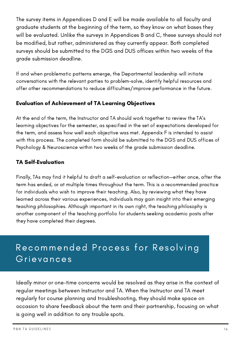The survey items in Appendices D and E will be made available to all faculty and graduate students at the beginning of the term, so they know on what bases they will be evaluated. Unlike the surveys in Appendices B and C, these surveys should not be modified, but rather, administered as they currently appear. Both completed surveys should be submitted to the DGS and DUS offices within two weeks of the grade submission deadline.

If and when problematic patterns emerge, the Departmental leadership will initiate conversations with the relevant parties to problem-solve, identify helpful resources and offer other recommendations to reduce difficulties/improve performance in the future.

## Evaluation of Achievement of TA Learning Objectives

At the end of the term, the Instructor and TA should work together to review the TA's learning objectives for the semester, as specified in the set of expectations developed for the term, and assess how well each objective was met. Appendix F is intended to assist with this process. The completed form should be submitted to the DGS and DUS offices of Psychology & Neuroscience within two weeks of the grade submission deadline.

# TA Self-Evaluation

Finally, TAs may find it helpful to draft a self-evaluation or reflection—either once, after the term has ended, or at multiple times throughout the term. This is a recommended practice for individuals who wish to improve their teaching. Also, by reviewing what they have learned across their various experiences, individuals may gain insight into their emerging teaching philosophies. Although important in its own right, the teaching philosophy is another component of the teaching portfolio for students seeking academic posts after they have completed their degrees.

# Recommended Process for Resolving Grievances

Ideally minor or one-time concerns would be resolved as they arise in the context of regular meetings between Instructor and TA. When the Instructor and TA meet regularly for course planning and troubleshooting, they should make space on occasion to share feedback about the term and their partnership, focusing on what is going well in addition to any trouble spots.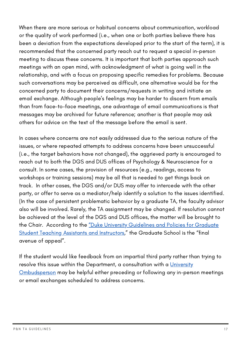When there are more serious or habitual concerns about communication, workload or the quality of work performed (i.e., when one or both parties believe there has been a deviation from the expectations developed prior to the start of the term), it is recommended that the concerned party reach out to request a special in-person meeting to discuss these concerns. It is important that both parties approach such meetings with an open mind, with acknowledgment of what is going well in the relationship, and with a focus on proposing specific remedies for problems. Because such conversations may be perceived as difficult, one alternative would be for the concerned party to document their concerns/requests in writing and initiate an email exchange. Although people's feelings may be harder to discern from emails than from face-to-face meetings, one advantage of email communications is that messages may be archived for future reference; another is that people may ask others for advice on the text of the message before the email is sent.

In cases where concerns are not easily addressed due to the serious nature of the issues, or where repeated attempts to address concerns have been unsuccessful (i.e., the target behaviors have not changed), the aggrieved party is encouraged to reach out to both the DGS and DUS offices of Psychology & Neuroscience for a consult. In some cases, the provision of resources (e.g., readings, access to workshops or training sessions) may be all that is needed to get things back on track. In other cases, the DGS and/or DUS may offer to intercede with the other party, or offer to serve as a mediator/help identify a solution to the issues identified. (In the case of persistent problematic behavior by a graduate TA, the faculty advisor also will be involved. Rarely, the TA assignment may be changed. If resolution cannot be achieved at the level of the DGS and DUS offices, the matter will be brought to the Chair. According to the "Duke University Guidelines and Policies for Graduate Student Teaching Assistants and [Instructors,"](https://gradschool.duke.edu/sites/default/files/documents/Duke-Graduate-TA-and-IOR-guidelines.pdf) the Graduate School is the "final avenue of appeal".

If the student would like feedback from an impartial third party rather than trying to resolve this issue within the Department, a consultation with a University [Ombudsperson](https://oie.duke.edu/about-us/ombudsperson) may be helpful either preceding or following any in-person meetings or email exchanges scheduled to address concerns.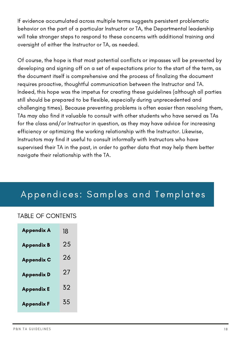If evidence accumulated across multiple terms suggests persistent problematic behavior on the part of a particular Instructor or TA, the Departmental leadership will take stronger steps to respond to these concerns with additional training and oversight of either the Instructor or TA, as needed.

Of course, the hope is that most potential conflicts or impasses will be prevented by developing and signing off on a set of expectations prior to the start of the term, as the document itself is comprehensive and the process of finalizing the document requires proactive, thoughtful communication between the Instructor and TA. Indeed, this hope was the impetus for creating these guidelines (although all parties still should be prepared to be flexible, especially during unprecedented and challenging times). Because preventing problems is often easier than resolving them, TAs may also find it valuable to consult with other students who have served as TAs for the class and/or Instructor in question, as they may have advice for increasing efficiency or optimizing the working relationship with the Instructor. Likewise, Instructors may find it useful to consult informally with Instructors who have supervised their TA in the past, in order to gather data that may help them better navigate their relationship with the TA.

# Appendices: Samples and Templates

# TABLE OF CONTENTS

| <b>Appendix A</b> | 18 |
|-------------------|----|
| <b>Appendix B</b> | 25 |
| <b>Appendix C</b> | 26 |
| <b>Appendix D</b> | 27 |
| <b>Appendix E</b> | 32 |
| <b>Appendix F</b> | 35 |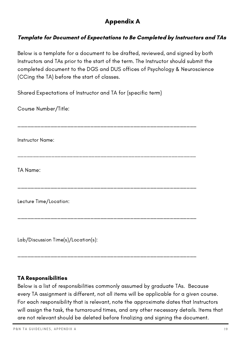# Appendix A

# Template for Document of Expectations to Be Completed by Instructors and TAs

Below is a template for a document to be drafted, reviewed, and signed by both Instructors and TAs prior to the start of the term. The Instructor should submit the completed document to the DGS and DUS offices of Psychology & Neuroscience (CCing the TA) before the start of classes.

Shared Expectations of Instructor and TA for (specific term)

Course Number/Title:

\_\_\_\_\_\_\_\_\_\_\_\_\_\_\_\_\_\_\_\_\_\_\_\_\_\_\_\_\_\_\_\_\_\_\_\_\_\_\_\_\_\_\_\_\_\_\_\_\_\_\_\_\_\_

\_\_\_\_\_\_\_\_\_\_\_\_\_\_\_\_\_\_\_\_\_\_\_\_\_\_\_\_\_\_\_\_\_\_\_\_\_\_\_\_\_\_\_\_\_\_\_\_\_\_\_\_\_\_\_\_\_\_

\_\_\_\_\_\_\_\_\_\_\_\_\_\_\_\_\_\_\_\_\_\_\_\_\_\_\_\_\_\_\_\_\_\_\_\_\_\_\_\_\_\_\_\_\_\_\_\_\_\_\_\_\_\_

\_\_\_\_\_\_\_\_\_\_\_\_\_\_\_\_\_\_\_\_\_\_\_\_\_\_\_\_\_\_\_\_\_\_\_\_\_\_\_\_\_\_\_\_\_\_\_\_\_\_\_\_\_\_

\_\_\_\_\_\_\_\_\_\_\_\_\_\_\_\_\_\_\_\_\_\_\_\_\_\_\_\_\_\_\_\_\_\_\_\_\_\_\_\_\_\_\_\_\_\_\_\_\_\_\_\_\_\_

Instructor Name:

TA Name:

Lecture Time/Location:

Lab/Discussion Time(s)/Location(s):

#### TA Responsibilities

Below is a list of responsibilities commonly assumed by graduate TAs. Because every TA assignment is different, not all items will be applicable for a given course. For each responsibility that is relevant, note the approximate dates that Instructors will assign the task, the turnaround times, and any other necessary details. Items that are not relevant should be deleted before finalizing and signing the document.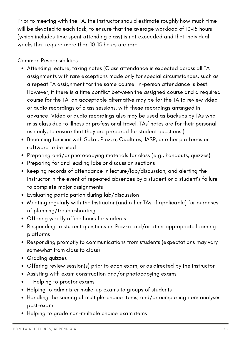Prior to meeting with the TA, the Instructor should estimate roughly how much time will be devoted to each task, to ensure that the average workload of 10-15 hours (which includes time spent attending class) is not exceeded and that individual weeks that require more than 10-15 hours are rare.

Common Responsibilities

- Attending lecture, taking notes (Class attendance is expected across all TA assignments with rare exceptions made only for special circumstances, such as a repeat TA assignment for the same course. In-person attendance is best. However, if there is a time conflict between the assigned course and a required course for the TA, an acceptable alternative may be for the TA to review video or audio recordings of class sessions, with these recordings arranged in advance. Video or audio recordings also may be used as backups by TAs who miss class due to illness or professional travel. TAs' notes are for their personal use only, to ensure that they are prepared for student questions.)
- Becoming familiar with Sakai, Piazza, Qualtrics, JASP, or other platforms or software to be used
- Preparing and/or photocopying materials for class (e.g., handouts, quizzes)
- Preparing for and leading labs or discussion sections
- Keeping records of attendance in lecture/lab/discussion, and alerting the Instructor in the event of repeated absences by a student or a student's failure to complete major assignments
- Evaluating participation during lab/discussion
- Meeting regularly with the Instructor (and other TAs, if applicable) for purposes of planning/troubleshooting
- Offering weekly office hours for students
- Responding to student questions on Piazza and/or other appropriate learning platforms
- Responding promptly to communications from students (expectations may vary somewhat from class to class)
- Grading quizzes
- Offering review session(s) prior to each exam, or as directed by the Instructor
- Assisting with exam construction and/or photocopying exams
- Helping to proctor exams
- Helping to administer make-up exams to groups of students
- Handling the scoring of multiple-choice items, and/or completing item analyses post-exam
- Helping to grade non-multiple choice exam items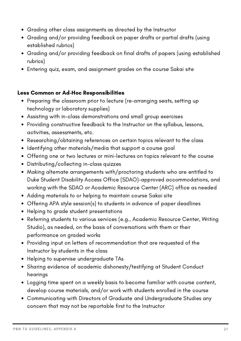- Grading other class assignments as directed by the Instructor
- Grading and/or providing feedback on paper drafts or partial drafts (using established rubrics)
- Grading and/or providing feedback on final drafts of papers (using established rubrics)
- Entering quiz, exam, and assignment grades on the course Sakai site

## Less Common or Ad-Hoc Responsibilities

- Preparing the classroom prior to lecture (re-arranging seats, setting up technology or laboratory supplies)
- Assisting with in-class demonstrations and small group exercises
- Providing constructive feedback to the Instructor on the syllabus, lessons, activities, assessments, etc.
- Researching/obtaining references on certain topics relevant to the class
- Identifying other materials/media that support a course goal
- Offering one or two lectures or mini-lectures on topics relevant to the course
- Distributing/collecting in-class quizzes
- Making alternate arrangements with/proctoring students who are entitled to Duke Student Disability Access Office (SDAO)-approved accommodations, and working with the SDAO or Academic Resource Center (ARC) office as needed
- Adding materials to or helping to maintain course Sakai site
- Offering APA style session(s) to students in advance of paper deadlines
- Helping to grade student presentations
- Referring students to various services (e.g., Academic Resource Center, Writing Studio), as needed, on the basis of conversations with them or their performance on graded works
- Providing input on letters of recommendation that are requested of the Instructor by students in the class
- Helping to supervise undergraduate TAs
- Sharing evidence of academic dishonesty/testifying at Student Conduct hearings
- Logging time spent on a weekly basis to become familiar with course content, develop course materials, and/or work with students enrolled in the course
- Communicating with Directors of Graduate and Undergraduate Studies any concern that may not be reportable first to the Instructor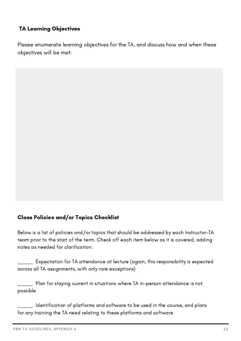## TA Learning Objectives

Please enumerate learning objectives for the TA, and discuss how and when these objectives will be met:

#### Class Policies and/or Topics Checklist

Below is a list of policies and/or topics that should be addressed by each Instructor-TA team prior to the start of the term. Check off each item below as it is covered, adding notes as needed for clarification:

 $\Box\_\_$  Expectation for TA attendance at lecture (again, this responsibility is expected across all TA assignments, with only rare exceptions)

\_\_\_\_\_ Plan for staying current in situations where TA in-person attendance is not possible

 $\frac{1}{1}$  Identification of platforms and software to be used in the course, and plans for any training the TA need relating to these platforms and software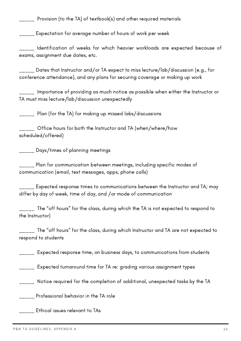\_\_\_\_\_ Provision (to the TA) of textbook(s) and other required materials

\_\_\_\_\_ Expectation for average number of hours of work per week

\_\_\_\_\_ Identification of weeks for which heavier workloads are expected because of exams, assignment due dates, etc.

\_\_\_\_\_ Dates that Instructor and/or TA expect to miss lecture/lab/discussion (e.g., for conference attendance), and any plans for securing coverage or making up work

 $\frac{1}{2}$  Importance of providing as much notice as possible when either the Instructor or TA must miss lecture/lab/discussion unexpectedly

\_\_\_\_\_ Plan (for the TA) for making up missed labs/discussions

\_\_\_\_\_ Office hours for both the Instructor and TA (when/where/how scheduled/offered)

\_\_\_\_\_ Days/times of planning meetings

 $\frac{1}{1}$ <sub>\_\_\_\_</sub> Plan for communication between meetings, including specific modes of communication (email, text messages, apps, phone calls)

\_\_\_\_\_ Expected response times to communications between the Instructor and TA; may differ by day of week, time of day, and /or mode of communication

\_\_\_\_\_ The "off hours" for the class, during which the TA is not expected to respond to the Instructor)

 $\frac{1}{2}$  The "off hours" for the class, during which Instructor and TA are not expected to respond to students

\_\_\_\_\_ Expected response time, on business days, to communications from students

\_\_\_\_\_ Expected turnaround time for TA re: grading various assignment types

Notice required for the completion of additional, unexpected tasks by the TA

\_\_\_\_\_ Professional behavior in the TA role

\_\_\_\_\_ Ethical issues relevant to TAs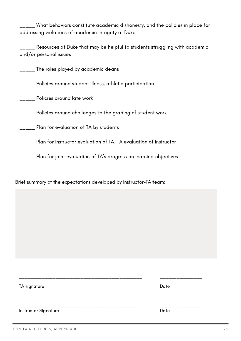What behaviors constitute academic dishonesty, and the policies in place for addressing violations of academic integrity at Duke

\_\_\_\_\_ Resources at Duke that may be helpful to students struggling with academic and/or personal issues

\_\_\_\_\_ The roles played by academic deans

\_\_\_\_\_ Policies around student illness, athletic participation

**\_\_\_\_\_** Policies around late work

\_\_\_\_\_ Policies around challenges to the grading of student work

\_\_\_\_\_ Plan for evaluation of TA by students

\_\_\_\_\_ Plan for Instructor evaluation of TA, TA evaluation of Instructor

\_\_\_\_\_ Plan for joint evaluation of TA's progress on learning objectives

Brief summary of the expectations developed by Instructor-TA team:

| TA signature                | Date                                                                                                          |
|-----------------------------|---------------------------------------------------------------------------------------------------------------|
|                             |                                                                                                               |
| <b>Instructor Signature</b> | أحسبهم أيستحق المستحل المستحل المستحل المستحل المستحل المستحل المستحل المستحل المستحل المستحل المستحل<br>Nate |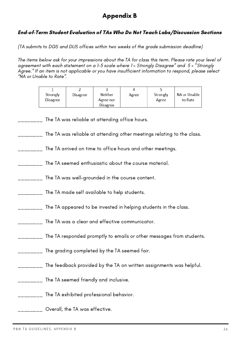# Appendix B

#### End-of-Term Student Evaluation of TAs Who Do Not Teach Labs/Discussion Sections

(TA submits to DGS and DUS offices within two weeks of the grade submission deadline)

The items below ask for your impressions about the TA for class this term. Please rate your level of agreement with each statement on a 1-5 scale where 1 = Strongly Disagree" and 5 = "Strongly Agree." If an item is not applicable or you have insufficient information to respond, please select "NA or Unable to Rate".

| Strongly<br><b>Disagree</b> | Disagree | Neither<br>Agree nor<br>Disagree | Agree | Strongly<br>Agree | NA or Unable<br>to Rate |
|-----------------------------|----------|----------------------------------|-------|-------------------|-------------------------|

\_\_\_\_\_\_\_\_ The TA was reliable at attending office hours.

The TA was reliable at attending other meetings relating to the class.

- \_\_\_\_\_\_\_\_ The TA arrived on time to office hours and other meetings.
- \_\_\_\_\_\_\_\_ The TA seemed enthusiastic about the course material.
- \_\_\_\_\_\_\_\_ The TA was well-grounded in the course content.
- \_\_\_\_\_\_\_\_ The TA made self available to help students.
- \_\_\_\_\_\_\_\_ The TA appeared to be invested in helping students in the class.
- \_\_\_\_\_\_\_\_ The TA was a clear and effective communicator.
- \_\_\_\_\_\_\_\_ The TA responded promptly to emails or other messages from students.
- \_\_\_\_\_\_\_\_ The grading completed by the TA seemed fair.
- \_\_\_\_\_\_\_\_ The feedback provided by the TA on written assignments was helpful.
- \_\_\_\_\_\_\_\_ The TA seemed friendly and inclusive.
- \_\_\_\_\_\_\_\_ The TA exhibited professional behavior.
- \_\_\_\_\_\_\_\_ Overall, the TA was effective.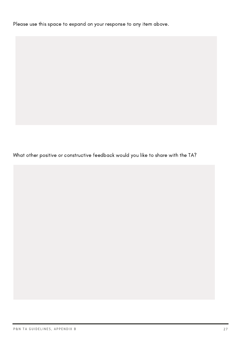Please use this space to expand on your response to any item above.

What other positive or constructive feedback would you like to share with the TA?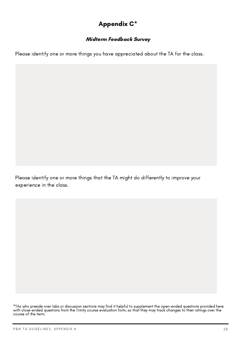# Appendix C\*

## Midterm Feedback Survey

Please identify one or more things you have appreciated about the TA for the class.

Please identify one or more things that the TA might do differently to improve your experience in the class.

<sup>\*</sup>TAs who preside over labs or discussion sections may find it helpful to supplement the open-ended questions provided here with close-ended questions from the Trinity course evaluation form, so that they may track changes to their ratings over the course of the term.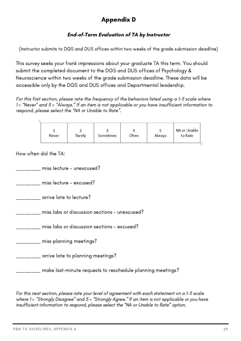# Appendix D

# End-of-Term Evaluation of TA by Instructor

(Instructor submits to DGS and DUS offices within two weeks of the grade submission deadline)

This survey seeks your frank impressions about your graduate TA this term. You should submit the completed document to the DGS and DUS offices of Psychology & Neuroscience within two weeks of the grade submission deadline. These data will be accessible only by the DGS and DUS offices and Departmental leadership.

For this first section, please rate the frequency of the behaviors listed using a 1-5 scale where 1 = "Never" and 5 = "Always." If an item is not applicable or you have insufficient information to respond, please select the "NA or Unable to Rate".

| Never | Rarely | Sometimes | Often | ◡<br>Always | NA or Unable<br>to Rate |
|-------|--------|-----------|-------|-------------|-------------------------|
|-------|--------|-----------|-------|-------------|-------------------------|

How often did the TA:

\_\_\_\_\_\_\_\_ miss lecture – unexcused?

\_\_\_\_\_\_\_\_ miss lecture – excused?

\_\_\_\_\_\_\_\_ arrive late to lecture?

\_\_\_\_\_\_\_\_ miss labs or discussion sections – unexcused?

\_\_\_\_\_\_\_\_ miss labs or discussion sections – excused?

\_\_\_\_\_\_\_\_ miss planning meetings?

\_\_\_\_\_\_\_\_ arrive late to planning meetings?

\_\_\_\_\_\_\_\_ make last-minute requests to reschedule planning meetings?

For this next section, please rate your level of agreement with each statement on a 1-5 scale where 1= "Strongly Disagree" and 5 = "Strongly Agree." If an item is not applicable or you have insufficient information to respond, please select the "NA or Unable to Rate" option.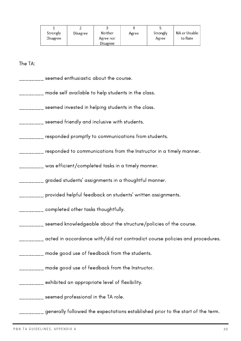| Strongly<br><b>Disagree</b> | Disagree | Neither<br>Agree nor<br>Disagree | Agree | Strongly<br>Agree | NA or Unable<br>to Rate |
|-----------------------------|----------|----------------------------------|-------|-------------------|-------------------------|

The TA:

- \_\_\_\_\_\_\_\_ seemed enthusiastic about the course.
- \_\_\_\_\_\_\_\_ made self available to help students in the class.
- $\frac{1}{1}$  seemed invested in helping students in the class.
- \_\_\_\_\_\_\_\_ seemed friendly and inclusive with students.
- \_\_\_\_\_\_\_\_ responded promptly to communications from students.
- \_\_\_\_\_\_\_\_ responded to communications from the Instructor in a timely manner.
- \_\_\_\_\_\_\_\_ was efficient/completed tasks in a timely manner.
- \_\_\_\_\_\_\_\_ graded students' assignments in a thoughtful manner.
- \_\_\_\_\_\_\_\_ provided helpful feedback on students' written assignments.
- \_\_\_\_\_\_\_\_ completed other tasks thoughtfully.
- \_\_\_\_\_\_\_\_ seemed knowledgeable about the structure/policies of the course.
- \_\_\_\_\_\_\_\_ acted in accordance with/did not contradict course policies and procedures.
- \_\_\_\_\_\_ made good use of feedback from the students.
	- \_\_\_\_\_\_ made good use of feedback from the Instructor.
- \_\_\_\_\_\_\_\_ exhibited an appropriate level of flexibility.

\_\_\_\_\_\_\_ seemed professional in the TA role.

 $\frac{1}{1}$  generally followed the expectations established prior to the start of the term.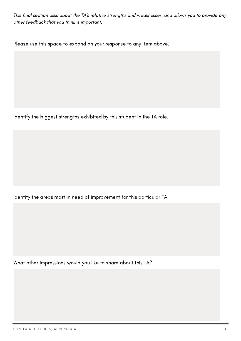This final section asks about the TA's relative strengths and weaknesses, and allows you to provide any other feedback that you think is important.

Please use this space to expand on your response to any item above.

Identify the biggest strengths exhibited by this student in the TA role.

Identify the areas most in need of improvement for this particular TA.

What other impressions would you like to share about this TA?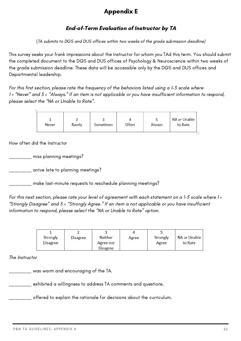# Appendix E

# End-of-Term Evaluation of Instructor by TA

(TA submits to DGS and DUS offices within two weeks of the grade submission deadline)

This survey seeks your frank impressions about the Instructor for whom you TAd this term. You should submit the completed document to the DGS and DUS offices of Psychology & Neuroscience within two weeks of the grade submission deadline. These data will be accessible only by the DGS and DUS offices and Departmental leadership.

For this first section, please rate the frequency of the behaviors listed using a 1-5 scale where 1 = "Never" and 5 = "Always." If an item is not applicable or you have insufficient information to respond, please select the "NA or Unable to Rate".

|  |  | Never | Rarely | Sometimes | Often | Always | NA or Unable<br>to Rate |
|--|--|-------|--------|-----------|-------|--------|-------------------------|
|--|--|-------|--------|-----------|-------|--------|-------------------------|

How often did the Instructor

\_\_\_\_\_\_\_\_ miss planning meetings?

\_\_\_\_\_\_\_\_ arrive late to planning meetings?

 $_{\rm{---}}$  make last-minute requests to reschedule planning meetings?

For this next section, please rate your level of agreement with each statement on a 1-5 scale where 1 = "Strongly Disagree" and 5 = "Strongly Agree." If an item is not applicable or you have insufficient information to respond, please select the "NA or Unable to Rate" option.

| Strongly<br>Disagree | Disagree | Neither<br>Agree nor<br>Disagree | Agree | Strongly<br>Agree | NA or Unable<br>to Rate |
|----------------------|----------|----------------------------------|-------|-------------------|-------------------------|

The Instructor

 $\_\,\_\,\_\,\_\,\_\,\$  was warm and encouraging of the TA.

\_\_\_\_\_\_\_\_ exhibited a willingness to address TA comments and questions.

\_\_\_\_\_\_\_\_ offered to explain the rationale for decisions about the curriculum.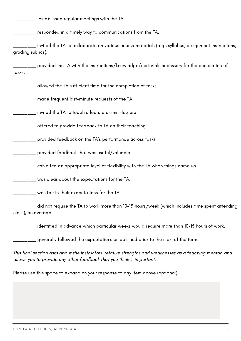$\frac{1}{2}$  established regular meetings with the TA.

\_\_\_\_\_\_\_\_ responded in a timely way to communications from the TA.

 $\mu_{\rm{max}}$  invited the TA to collaborate on various course materials (e.g., syllabus, assignment instructions, grading rubrics).

 $\overline{\phantom{a}}_{\phantom{a} \phantom{a}}$  provided the TA with the instructions/knowledge/materials necessary for the completion of tasks.

*\_\_\_\_\_\_* allowed the TA sufficient time for the completion of tasks.

 $\_$  made frequent last-minute requests of the TA.  $\,$ 

\_\_\_\_\_\_\_\_ invited the TA to teach a lecture or mini-lecture.

\_\_\_\_\_\_\_\_ offered to provide feedback to TA on their teaching.

\_\_\_\_\_\_\_\_ provided feedback on the TA's performance across tasks.

\_\_\_\_\_\_\_\_ provided feedback that was useful/valuable.

\_\_\_\_\_\_\_\_ exhibited an appropriate level of flexibility with the TA when things came up.

\_\_\_\_\_\_\_\_ was clear about the expectations for the TA.

\_\_\_\_\_\_\_\_ was fair in their expectations for the TA.

 $\mu_{\rm max}$  did not require the TA to work more than 10-15 hours/week (which includes time spent attending class), on average.

\_\_\_\_\_\_\_\_ identified in advance which particular weeks would require more than 10-15 hours of work.

 $_{\rm{---}}$  generally followed the expectations established prior to the start of the term.

This final section asks about the Instructors' relative strengths and weaknesses as a teaching mentor, and allows you to provide any other feedback that you think is important.

Please use this space to expand on your response to any item above (optional).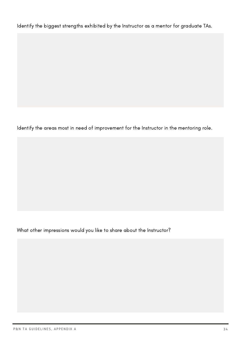Identify the biggest strengths exhibited by the Instructor as a mentor for graduate TAs.

Identify the areas most in need of improvement for the Instructor in the mentoring role.

What other impressions would you like to share about the Instructor?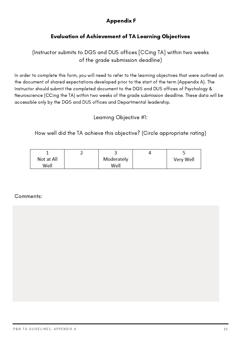# Appendix F

# Evaluation of Achievement of TA Learning Objectives

(Instructor submits to DGS and DUS offices [CCing TA] within two weeks of the grade submission deadline)

In order to complete this form, you will need to refer to the learning objectives that were outlined on the document of shared expectations developed prior to the start of the term (Appendix A). The Instructor should submit the completed document to the DGS and DUS offices of Psychology & Neuroscience (CCing the TA) within two weeks of the grade submission deadline. These data will be accessible only by the DGS and DUS offices and Departmental leadership.

Learning Objective #1:

How well did the TA achieve this objective? (Circle appropriate rating)

| Not at All | Moderately | Very Well |
|------------|------------|-----------|
| Well       | Well       |           |

#### Comments: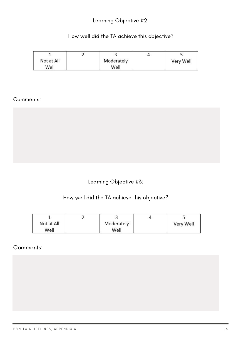# Learning Objective #2:

# How well did the TA achieve this objective?

|            | <u>_</u> |            |           |
|------------|----------|------------|-----------|
| Not at All |          | Moderately | Very Well |
| Well       |          | Well       |           |

#### Comments:

# Learning Objective #3:

#### How well did the TA achieve this objective?

| Not at All | Moderately | Very Well |
|------------|------------|-----------|
| Well       | Well       |           |

## Comments: